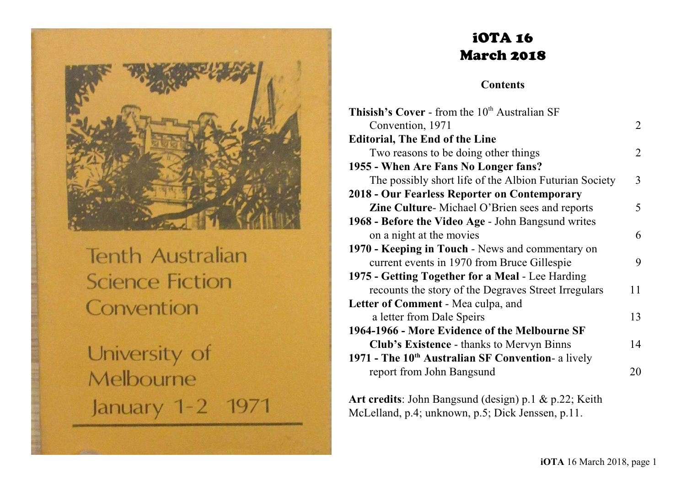

**Tenth Australian Science Fiction** Convention

University of Melbourne January 1-2 1971

# iOTA 16 March 2018

**Contents**

| Thisish's Cover - from the 10 <sup>th</sup> Australian SF      |    |
|----------------------------------------------------------------|----|
| Convention, 1971                                               | 2  |
| <b>Editorial, The End of the Line</b>                          |    |
| Two reasons to be doing other things                           | 2  |
| 1955 - When Are Fans No Longer fans?                           |    |
| The possibly short life of the Albion Futurian Society         | 3  |
| 2018 - Our Fearless Reporter on Contemporary                   |    |
| Zine Culture-Michael O'Brien sees and reports                  | 5  |
| 1968 - Before the Video Age - John Bangsund writes             |    |
| on a night at the movies                                       | 6  |
| 1970 - Keeping in Touch - News and commentary on               |    |
| current events in 1970 from Bruce Gillespie                    | 9  |
| 1975 - Getting Together for a Meal - Lee Harding               |    |
| recounts the story of the Degraves Street Irregulars           | 11 |
| Letter of Comment - Mea culpa, and                             |    |
| a letter from Dale Speirs                                      | 13 |
| 1964-1966 - More Evidence of the Melbourne SF                  |    |
| <b>Club's Existence - thanks to Mervyn Binns</b>               | 14 |
| 1971 - The 10 <sup>th</sup> Australian SF Convention- a lively |    |
| report from John Bangsund                                      | 20 |
|                                                                |    |

**Art credits**: John Bangsund (design) p.1 & p.22; Keith McLelland, p.4; unknown, p.5; Dick Jenssen, p.11.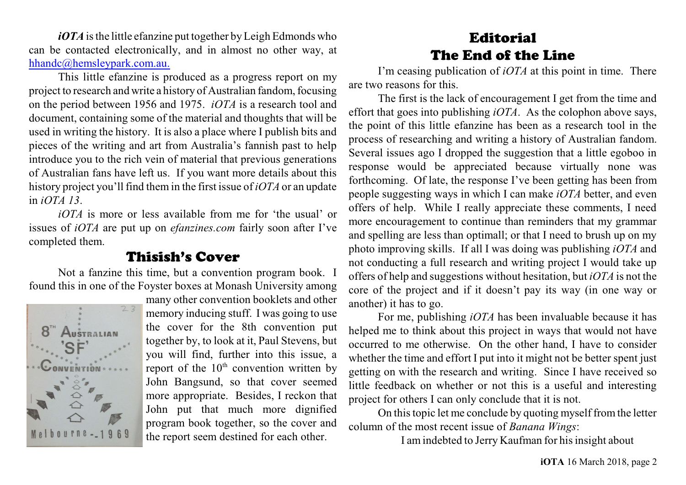*iOTA* is the little efanzine put together by Leigh Edmonds who can be contacted electronically, and in almost no other way, at [hhandc@hemsleypark.com.au.](mailto:hhandc@hemsleypark.com.au.)

This little efanzine is produced as a progress report on my project to research and write a history of Australian fandom, focusing on the period between 1956 and 1975. *iOTA* is a research tool and document, containing some of the material and thoughts that will be used in writing the history. It is also a place where I publish bits and pieces of the writing and art from Australia's fannish past to help introduce you to the rich vein of material that previous generations of Australian fans have left us. If you want more details about this history project you'll find them in the first issue of *iOTA* or an update in *iOTA 13*.

*iOTA* is more or less available from me for 'the usual' or issues of *iOTA* are put up on *efanzines.com* fairly soon after I've completed them.

## Thisish's Cover

Not a fanzine this time, but a convention program book. I found this in one of the Foyster boxes at Monash University among



many other convention booklets and other memory inducing stuff. I was going to use the cover for the 8th convention put together by, to look at it, Paul Stevens, but you will find, further into this issue, a report of the  $10<sup>th</sup>$  convention written by John Bangsund, so that cover seemed more appropriate. Besides, I reckon that John put that much more dignified program book together, so the cover and the report seem destined for each other.

# Editorial The End of the Line

I'm ceasing publication of *iOTA* at this point in time. There are two reasons for this.

The first is the lack of encouragement I get from the time and effort that goes into publishing *iOTA*. As the colophon above says, the point of this little efanzine has been as a research tool in the process of researching and writing a history of Australian fandom. Several issues ago I dropped the suggestion that a little egoboo in response would be appreciated because virtually none was forthcoming. Of late, the response I've been getting has been from people suggesting ways in which I can make *iOTA* better, and even offers of help. While I really appreciate these comments, I need more encouragement to continue than reminders that my grammar and spelling are less than optimall; or that I need to brush up on my photo improving skills. If all I was doing was publishing *iOTA* and not conducting a full research and writing project I would take up offers of help and suggestions without hesitation, but *iOTA* is not the core of the project and if it doesn't pay its way (in one way or another) it has to go.

For me, publishing *iOTA* has been invaluable because it has helped me to think about this project in ways that would not have occurred to me otherwise. On the other hand, I have to consider whether the time and effort I put into it might not be better spent just getting on with the research and writing. Since I have received so little feedback on whether or not this is a useful and interesting project for others I can only conclude that it is not.

On thistopic let me conclude by quoting myself fromthe letter column of the most recent issue of *Banana Wings*:

I am indebted to Jerry Kaufman for hisinsight about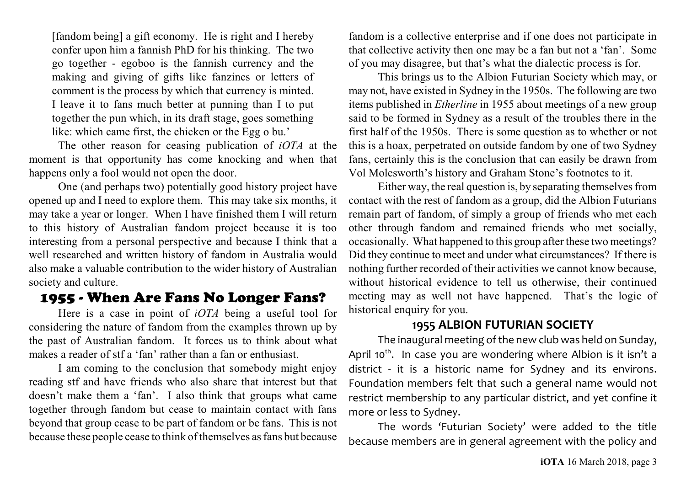[fandom being] a gift economy. He is right and I hereby confer upon him a fannish PhD for his thinking. The two go together - egoboo is the fannish currency and the making and giving of gifts like fanzines or letters of comment is the process by which that currency is minted. I leave it to fans much better at punning than I to put together the pun which, in its draft stage, goes something like: which came first, the chicken or the Egg o bu.'

The other reason for ceasing publication of *iOTA* at the moment is that opportunity has come knocking and when that happens only a fool would not open the door.

One (and perhaps two) potentially good history project have opened up and I need to explore them. This may take six months, it may take a year or longer. When I have finished them I will return to this history of Australian fandom project because it is too interesting from a personal perspective and because I think that a well researched and written history of fandom in Australia would also make a valuable contribution to the wider history of Australian society and culture.

# 1955 - When Are Fans No Longer Fans?

Here is a case in point of *iOTA* being a useful tool for considering the nature of fandom from the examples thrown up by the past of Australian fandom. It forces us to think about what makes a reader of stf a 'fan' rather than a fan or enthusiast.

I am coming to the conclusion that somebody might enjoy reading stf and have friends who also share that interest but that doesn't make them a 'fan'. I also think that groups what came together through fandom but cease to maintain contact with fans beyond that group cease to be part of fandom or be fans. This is not because these people cease to think of themselves as fans but because fandom is a collective enterprise and if one does not participate in that collective activity then one may be a fan but not a 'fan'. Some of you may disagree, but that's what the dialectic process is for.

This brings us to the Albion Futurian Society which may, or may not, have existed in Sydney in the 1950s. The following are two items published in *Etherline* in 1955 about meetings of a new group said to be formed in Sydney as a result of the troubles there in the first half of the 1950s. There is some question as to whether or not this is a hoax, perpetrated on outside fandom by one of two Sydney fans, certainly this is the conclusion that can easily be drawn from Vol Molesworth's history and Graham Stone's footnotes to it.

Either way, the real question is, by separating themselves from contact with the rest of fandom as a group, did the Albion Futurians remain part of fandom, of simply a group of friends who met each other through fandom and remained friends who met socially, occasionally. What happened to this group after these two meetings? Did they continue to meet and under what circumstances? If there is nothing further recorded of their activities we cannot know because, without historical evidence to tell us otherwise, their continued meeting may as well not have happened. That's the logic of historical enquiry for you.

#### **1955 ALBION FUTURIAN SOCIETY**

The inaugural meeting of the new club was held on Sunday, April 10<sup>th</sup>. In case you are wondering where Albion is it isn't a district - it is a historic name for Sydney and its environs. Foundation members felt that such a general name would not restrict membership to any particular district, and yet confine it more or less to Sydney.

The words 'Futurian Society' were added to the title because members are in general agreement with the policy and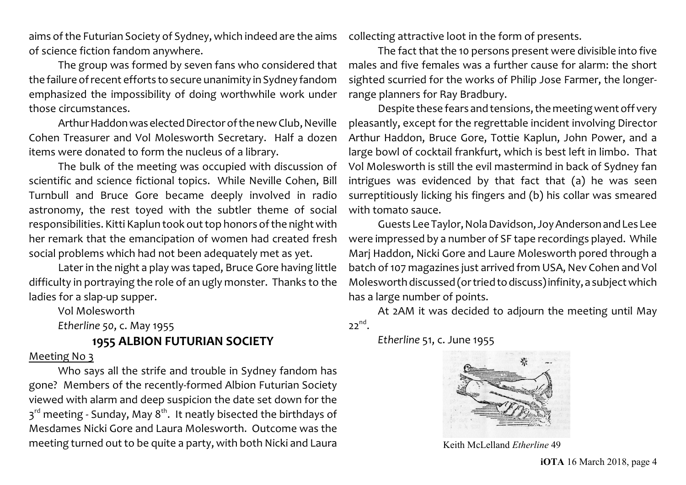aims of the Futurian Society of Sydney, which indeed are the aims of science fiction fandom anywhere.

The group was formed by seven fans who considered that the failure ofrecent efforts to secure unanimity in Sydney fandom emphasized the impossibility of doing worthwhile work under those circumstances.

Arthur Haddon was elected Director of the new Club, Neville Cohen Treasurer and Vol Molesworth Secretary. Half a dozen items were donated to form the nucleus of a library.

The bulk of the meeting was occupied with discussion of scientific and science fictional topics. While Neville Cohen, Bill Turnbull and Bruce Gore became deeply involved in radio astronomy, the rest toyed with the subtler theme of social responsibilities. Kitti Kaplun took out top honors of the night with her remark that the emancipation of women had created fresh social problems which had not been adequately met as yet.

Later in the night a play was taped, Bruce Gore having little difficulty in portraying the role of an ugly monster. Thanks to the ladies for a slap-up supper.

Vol Molesworth

*Etherline 50*, c. May 1955

**1955 ALBION FUTURIAN SOCIETY**

#### Meeting No 3

Who says all the strife and trouble in Sydney fandom has gone? Members of the recently-formed Albion Futurian Society viewed with alarm and deep suspicion the date set down for the 3<sup>rd</sup> meeting - Sunday, May 8<sup>th</sup>. It neatly bisected the birthdays of Mesdames Nicki Gore and Laura Molesworth. Outcome was the meeting turned out to be quite a party, with both Nicki and Laura

collecting attractive loot in the form of presents.

The fact that the 10 persons present were divisible into five males and five females was a further cause for alarm: the short sighted scurried for the works of Philip Jose Farmer, the longerrange planners for Ray Bradbury.

Despite these fears and tensions, the meeting went off very pleasantly, except for the regrettable incident involving Director Arthur Haddon, Bruce Gore, Tottie Kaplun, John Power, and a large bowl of cocktail frankfurt, which is best left in limbo. That Vol Molesworth is still the evil mastermind in back of Sydney fan intrigues was evidenced by that fact that (a) he was seen surreptitiously licking his fingers and (b) his collar was smeared with tomato sauce.

Guests Lee Taylor, Nola Davidson, Joy AndersonandLes Lee were impressed by a number of SF tape recordings played. While Marj Haddon, Nicki Gore and Laure Molesworth pored through a batch of 107 magazines just arrived from USA, Nev Cohen and Vol Molesworth discussed (or tried todiscuss)infinity, a subject which has a large number of points.

At 2AM it was decided to adjourn the meeting until May  $22^{nd}$ .

*Etherline* 51, c. June 1955



Keith McLelland *Etherline* 49

**iOTA** 16 March 2018, page 4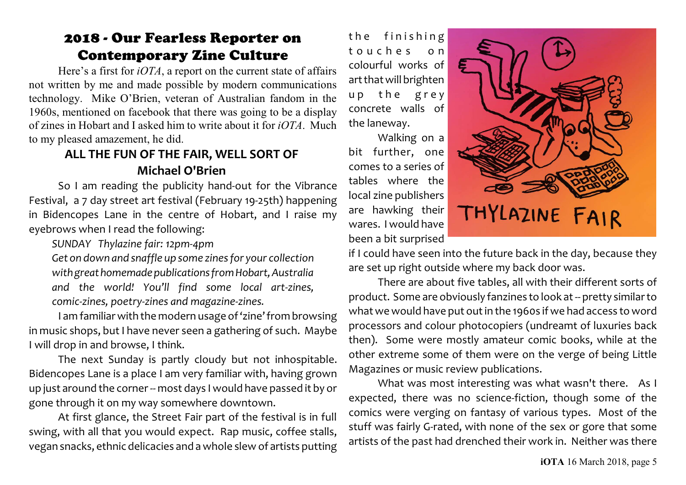# 2018 - Our Fearless Reporter on Contemporary Zine Culture

Here's a first for *iOTA*, a report on the current state of affairs not written by me and made possible by modern communications technology. Mike O'Brien, veteran of Australian fandom in the 1960s, mentioned on facebook that there was going to be a display of zines in Hobart and I asked him to write about it for *iOTA*. Much to my pleased amazement, he did.

## **ALL THE FUN OF THE FAIR, WELL SORT OF Michael O'Brien**

So I am reading the publicity hand-out for the Vibrance Festival, a 7 day street art festival (February 19-25th) happening in Bidencopes Lane in the centre of Hobart, and I raise my eyebrows when I read the following:

*SUNDAY Thylazine fair: 12pm-4pm*

*Get on down and snaffle up some zines for your collection withgreathomemadepublicationsfromHobart,Australia and the world! You'll find some local art-zines, comic-zines, poetry-zines and magazine-zines.*

I am familiar with the modern usage of'zine' from browsing in music shops, but I have never seen a gathering of such. Maybe I will drop in and browse, I think.

The next Sunday is partly cloudy but not inhospitable. Bidencopes Lane is a place I am very familiar with, having grown up just around the corner -- most days I would have passed it by or gone through it on my way somewhere downtown.

At first glance, the Street Fair part of the festival is in full swing, with all that you would expect. Rap music, coffee stalls, vegan snacks, ethnic delicacies and a whole slew of artists putting the finishing t o u c h e s o n colourful works of art that will brighten up the grey concrete walls of the laneway.

Walking on a bit further, one comes to a series of tables where the local zine publishers are hawking their wares. I would have been a bit surprised



if I could have seen into the future back in the day, because they are set up right outside where my back door was.

There are about five tables, all with their different sorts of product. Some are obviously fanzines to look at -- pretty similar to what we would have put out in the 1960s if we had access to word processors and colour photocopiers (undreamt of luxuries back then). Some were mostly amateur comic books, while at the other extreme some of them were on the verge of being Little Magazines or music review publications.

What was most interesting was what wasn't there. As I expected, there was no science-fiction, though some of the comics were verging on fantasy of various types. Most of the stuff was fairly G-rated, with none of the sex or gore that some artists of the past had drenched their work in. Neither was there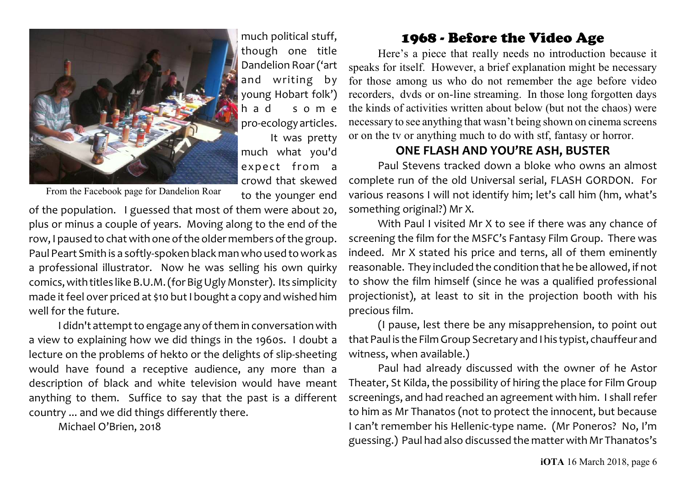

much political stuff, though one title Dandelion Roar ('art and writing by young Hobart folk') h a d s o m e pro-ecology articles. It was pretty much what you'd expect from a crowd that skewed to the younger end

From the Facebook page for Dandelion Roar

of the population. I guessed that most of them were about 20, plus or minus a couple of years. Moving along to the end of the row, I paused to chat with one of the older members of the group. Paul Peart Smith is a softly-spoken black man who used to work as a professional illustrator. Now he was selling his own quirky comics, with titles like B.U.M. (for Big Ugly Monster). Its simplicity made it feel over priced at \$10 but I bought a copy and wished him well for the future.

I didn't attempt to engage any of them in conversation with a view to explaining how we did things in the 1960s. I doubt a lecture on the problems of hekto or the delights of slip-sheeting would have found a receptive audience, any more than a description of black and white television would have meant anything to them. Suffice to say that the past is a different country ... and we did things differently there.

Michael O'Brien, 2018

### 1968 - Before the Video Age

Here's a piece that really needs no introduction because it speaks for itself. However, a brief explanation might be necessary for those among us who do not remember the age before video recorders, dvds or on-line streaming. In those long forgotten days the kinds of activities written about below (but not the chaos) were necessary to see anything that wasn't being shown on cinema screens or on the tv or anything much to do with stf, fantasy or horror.

#### **ONE FLASH AND YOU'RE ASH, BUSTER**

Paul Stevens tracked down a bloke who owns an almost complete run of the old Universal serial, FLASH GORDON. For various reasons I will not identify him; let's call him (hm, what's something original?) Mr X.

With Paul I visited Mr X to see if there was any chance of screening the film for the MSFC's Fantasy Film Group. There was indeed. Mr X stated his price and terns, all of them eminently reasonable. They included the condition that he be allowed, if not to show the film himself (since he was a qualified professional projectionist), at least to sit in the projection booth with his precious film.

(I pause, lest there be any misapprehension, to point out that Paul is the Film Group Secretary and Ihis typist, chauffeur and witness, when available.)

Paul had already discussed with the owner of he Astor Theater, St Kilda, the possibility of hiring the place for Film Group screenings, and had reached an agreement with him. I shall refer to him as Mr Thanatos (not to protect the innocent, but because I can't remember his Hellenic-type name. (Mr Poneros? No, I'm guessing.) Paul had also discussed the matter with Mr Thanatos's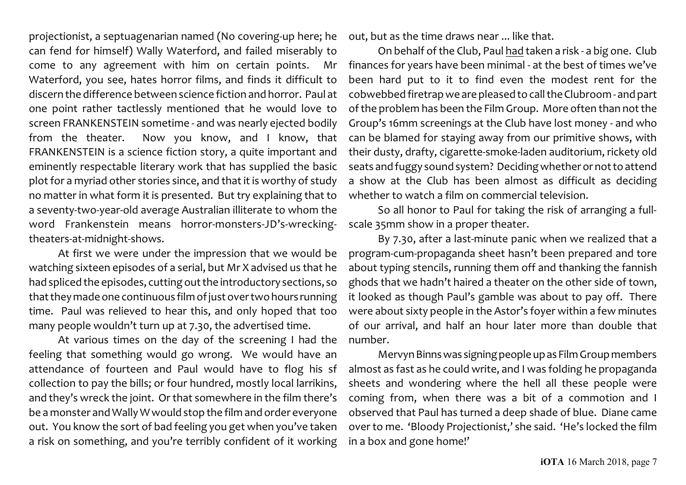projectionist, a septuagenarian named (No covering-up here; he can fend for himself) Wally Waterford, and failed miserably to come to any agreement with him on certain points. Mr Waterford, you see, hates horror films, and finds it difficult to discern the difference between science fiction and horror. Paul at one point rather tactlessly mentioned that he would love to screen FRANKENSTEIN sometime - and was nearly ejected bodily from the theater. Now you know, and I know, that FRANKENSTEIN is a science fiction story, a quite important and eminently respectable literary work that has supplied the basic plot for a myriad other stories since, and that it is worthy of study no matter in what form it is presented. But try explaining that to a seventy-two-year-old average Australian illiterate to whom the word Frankenstein means horror-monsters-JD's-wreckingtheaters-at-midnight-shows.

At first we were under the impression that we would be watching sixteen episodes of a serial, but Mr X advised us that he had spliced the episodes, cutting out the introductory sections, so that they made one continuous film of just over two hours running time. Paul was relieved to hear this, and only hoped that too many people wouldn't turn up at 7.30, the advertised time.

At various times on the day of the screening I had the feeling that something would go wrong. We would have an attendance of fourteen and Paul would have to flog his sf collection to pay the bills; or four hundred, mostly local larrikins, and they's wreck the joint. Or that somewhere in the film there's be a monster and Wally Wwould stop the film and order everyone out. You know the sort of bad feeling you get when you've taken a risk on something, and you're terribly confident of it working

out, but as the time draws near ... like that.

On behalf of the Club, Paul had taken a risk - a big one. Club finances for years have been minimal - at the best of times we've been hard put to it to find even the modest rent for the cobwebbed firetrap we are pleased to call the Clubroom- and part ofthe problem has been the Film Group. More often than not the Group's 16mm screenings at the Club have lost money - and who can be blamed for staying away from our primitive shows, with their dusty, drafty, cigarette-smoke-laden auditorium, rickety old seats and fuggy sound system? Deciding whether or not to attend a show at the Club has been almost as difficult as deciding whether to watch a film on commercial television.

So all honor to Paul for taking the risk of arranging a fullscale 35mm show in a proper theater.

By 7.30, after a last-minute panic when we realized that a program-cum-propaganda sheet hasn't been prepared and tore about typing stencils, running them off and thanking the fannish ghods that we hadn't haired a theater on the other side of town, it looked as though Paul's gamble was about to pay off. There were about sixty people in the Astor's foyer within a few minutes of our arrival, and half an hour later more than double that number.

Mervyn Binns was signing people up as Film Group members almost as fast as he could write, and I was folding he propaganda sheets and wondering where the hell all these people were coming from, when there was a bit of a commotion and I observed that Paul has turned a deep shade of blue. Diane came over to me. 'Bloody Projectionist,' she said. 'He's locked the film in a box and gone home!'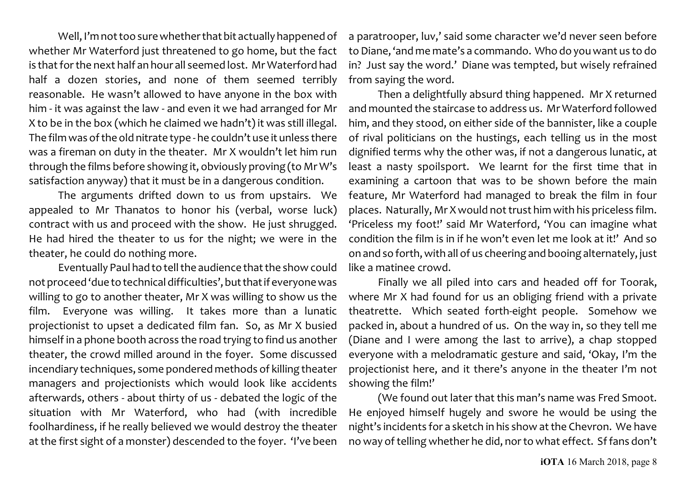Well, I'm not too sure whether that bit actually happened of whether Mr Waterford just threatened to go home, but the fact is that for the next half an hour all seemed lost. Mr Waterford had half a dozen stories, and none of them seemed terribly reasonable. He wasn't allowed to have anyone in the box with him - it was against the law - and even it we had arranged for Mr X to be in the box (which he claimed we hadn't) it was still illegal. The film was of the old nitrate type - he couldn't use it unless there was a fireman on duty in the theater. Mr X wouldn't let him run through the films before showing it, obviously proving (to Mr W's satisfaction anyway) that it must be in a dangerous condition.

The arguments drifted down to us from upstairs. We appealed to Mr Thanatos to honor his (verbal, worse luck) contract with us and proceed with the show. He just shrugged. He had hired the theater to us for the night; we were in the theater, he could do nothing more.

Eventually Paul had to tell the audience that the showcould not proceed 'due to technical difficulties', but that if everyone was willing to go to another theater, Mr X was willing to show us the film. Everyone was willing. It takes more than a lunatic projectionist to upset a dedicated film fan. So, as Mr X busied himself in a phone booth across the road trying to find us another theater, the crowd milled around in the foyer. Some discussed incendiary techniques, some pondered methods of killing theater managers and projectionists which would look like accidents afterwards, others - about thirty of us - debated the logic of the situation with Mr Waterford, who had (with incredible foolhardiness, if he really believed we would destroy the theater at the first sight of a monster) descended to the foyer. 'I've been

a paratrooper, luv,' said some character we'd never seen before to Diane, 'and me mate's a commando. Who do youwant us to do in? Just say the word.' Diane was tempted, but wisely refrained from saying the word.

Then a delightfully absurd thing happened. Mr X returned and mounted the staircase to address us. Mr Waterford followed him, and they stood, on either side of the bannister, like a couple of rival politicians on the hustings, each telling us in the most dignified terms why the other was, if not a dangerous lunatic, at least a nasty spoilsport. We learnt for the first time that in examining a cartoon that was to be shown before the main feature, Mr Waterford had managed to break the film in four places. Naturally, Mr X would not trust him with his priceless film. 'Priceless my foot!' said Mr Waterford, 'You can imagine what condition the film is in if he won't even let me look at it!' And so on and so forth, with all of us cheering and booing alternately, just like a matinee crowd.

Finally we all piled into cars and headed off for Toorak, where Mr X had found for us an obliging friend with a private theatrette. Which seated forth-eight people. Somehow we packed in, about a hundred of us. On the way in, so they tell me (Diane and I were among the last to arrive), a chap stopped everyone with a melodramatic gesture and said, 'Okay, I'm the projectionist here, and it there's anyone in the theater I'm not showing the film!'

(We found out later that this man's name was Fred Smoot. He enjoyed himself hugely and swore he would be using the night's incidents for a sketch in his show at the Chevron. We have no way of telling whether he did, nor to what effect. Sf fans don't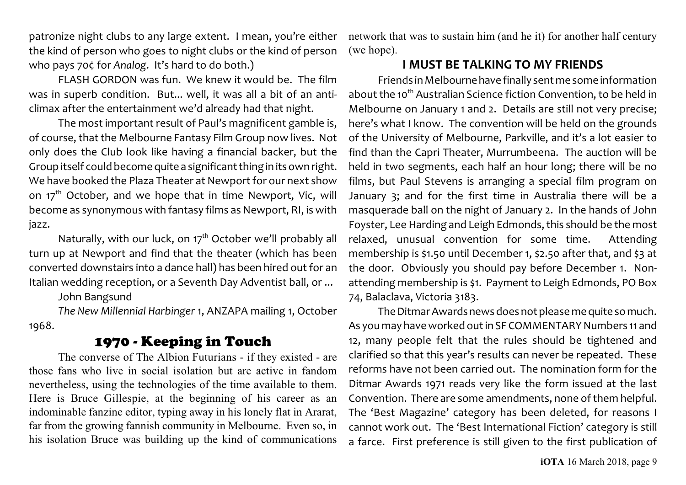patronize night clubs to any large extent. I mean, you're either the kind of person who goes to night clubs or the kind of person who pays 70¢ for *Analog*. It's hard to do both.)

FLASH GORDON was fun. We knew it would be. The film was in superb condition. But... well, it was all a bit of an anticlimax after the entertainment we'd already had that night.

The most important result of Paul's magnificent gamble is, of course, that the Melbourne Fantasy Film Group now lives. Not only does the Club look like having a financial backer, but the Group itself could become quite a significant thing in its own right. We have booked the Plaza Theater at Newport for our next show on  $17<sup>th</sup>$  October, and we hope that in time Newport, Vic, will become as synonymous with fantasy films as Newport, RI, is with jazz.

Naturally, with our luck, on 17<sup>th</sup> October we'll probably all turn up at Newport and find that the theater (which has been converted downstairs into a dance hall) has been hired out for an Italian wedding reception, or a Seventh Day Adventist ball, or ...

John Bangsund

*The New Millennial Harbinger* 1, ANZAPA mailing 1, October 1968.

# 1970 - Keeping in Touch

The converse of The Albion Futurians - if they existed - are those fans who live in social isolation but are active in fandom nevertheless, using the technologies of the time available to them. Here is Bruce Gillespie, at the beginning of his career as an indominable fanzine editor, typing away in his lonely flat in Ararat, far from the growing fannish community in Melbourne. Even so, in his isolation Bruce was building up the kind of communications network that was to sustain him (and he it) for another half century (we hope).

## **I MUST BE TALKING TO MY FRIENDS**

Friends in Melbourne have finally sent me some information about the 10<sup>th</sup> Australian Science fiction Convention, to be held in Melbourne on January 1 and 2. Details are still not very precise; here's what I know. The convention will be held on the grounds of the University of Melbourne, Parkville, and it's a lot easier to find than the Capri Theater, Murrumbeena. The auction will be held in two segments, each half an hour long; there will be no films, but Paul Stevens is arranging a special film program on January 3; and for the first time in Australia there will be a masquerade ball on the night of January 2. In the hands of John Foyster, Lee Harding and Leigh Edmonds, this should be the most relaxed, unusual convention for some time. Attending membership is \$1.50 until December 1, \$2.50 after that, and \$3 at the door. Obviously you should pay before December 1. Nonattending membership is \$1. Payment to Leigh Edmonds, PO Box 74, Balaclava, Victoria 3183.

The Ditmar Awards news does not please me quite so much. As you may have worked out in SF COMMENTARY Numbers 11 and 12, many people felt that the rules should be tightened and clarified so that this year's results can never be repeated. These reforms have not been carried out. The nomination form for the Ditmar Awards 1971 reads very like the form issued at the last Convention. There are some amendments, none of them helpful. The 'Best Magazine' category has been deleted, for reasons I cannot work out. The 'Best International Fiction' category is still a farce. First preference is still given to the first publication of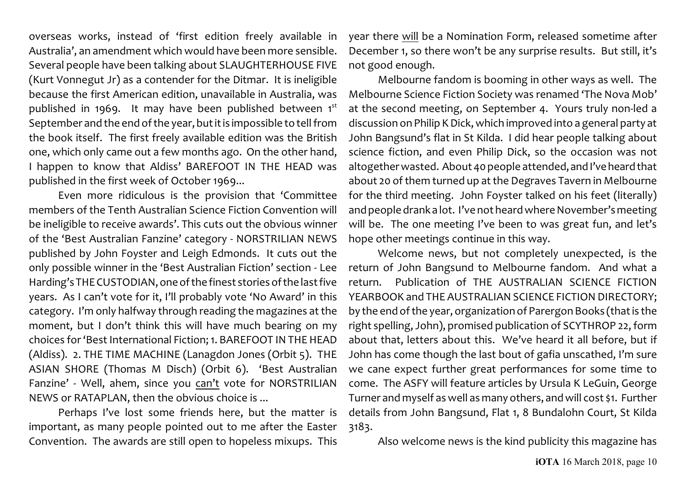overseas works, instead of 'first edition freely available in Australia', an amendment which would have been more sensible. Several people have been talking about SLAUGHTERHOUSE FIVE (Kurt Vonnegut Jr) as a contender for the Ditmar. It is ineligible because the first American edition, unavailable in Australia, was published in 1969. It may have been published between 1st September and the end of the year, but it is impossible to tell from the book itself. The first freely available edition was the British one, which only came out a few months ago. On the other hand, I happen to know that Aldiss' BAREFOOT IN THE HEAD was published in the first week of October 1969...

Even more ridiculous is the provision that 'Committee members of the Tenth Australian Science Fiction Convention will be ineligible to receive awards'. This cuts out the obvious winner of the 'Best Australian Fanzine' category - NORSTRILIAN NEWS published by John Foyster and Leigh Edmonds. It cuts out the only possible winner in the 'Best Australian Fiction' section - Lee Harding's THE CUSTODIAN,one ofthe finest stories of the last five years. As I can't vote for it, I'll probably vote 'No Award' in this category. I'm only halfway through reading the magazines at the moment, but I don't think this will have much bearing on my choices for 'Best International Fiction; 1. BAREFOOT IN THE HEAD (Aldiss). 2. THE TIME MACHINE (Lanagdon Jones (Orbit 5). THE ASIAN SHORE (Thomas M Disch) (Orbit 6). 'Best Australian Fanzine' - Well, ahem, since you can't vote for NORSTRILIAN NEWS or RATAPLAN, then the obvious choice is ...

Perhaps I've lost some friends here, but the matter is important, as many people pointed out to me after the Easter Convention. The awards are still open to hopeless mixups. This year there will be a Nomination Form, released sometime after December 1, so there won't be any surprise results. But still, it's not good enough.

Melbourne fandom is booming in other ways as well. The Melbourne Science Fiction Society was renamed 'The Nova Mob' at the second meeting, on September 4. Yours truly non-led a discussion on Philip K Dick, which improved into a general party at John Bangsund's flat in St Kilda. I did hear people talking about science fiction, and even Philip Dick, so the occasion was not altogether wasted. About 40 people attended, and I've heard that about 20 of them turned up at the Degraves Tavern in Melbourne for the third meeting. John Foyster talked on his feet (literally) and people drank a lot. I've not heard where November's meeting will be. The one meeting I've been to was great fun, and let's hope other meetings continue in this way.

Welcome news, but not completely unexpected, is the return of John Bangsund to Melbourne fandom. And what a return. Publication of THE AUSTRALIAN SCIENCE FICTION YEARBOOK and THE AUSTRALIAN SCIENCE FICTION DIRECTORY; by the end of the year, organization of Parergon Books (that is the right spelling, John), promised publication of SCYTHROP 22, form about that, letters about this. We've heard it all before, but if John has come though the last bout of gafia unscathed, I'm sure we cane expect further great performances for some time to come. The ASFY will feature articles by Ursula K LeGuin, George Turner and myself as well as many others, and will cost \$1. Further details from John Bangsund, Flat 1, 8 Bundalohn Court, St Kilda 3183.

Also welcome news is the kind publicity this magazine has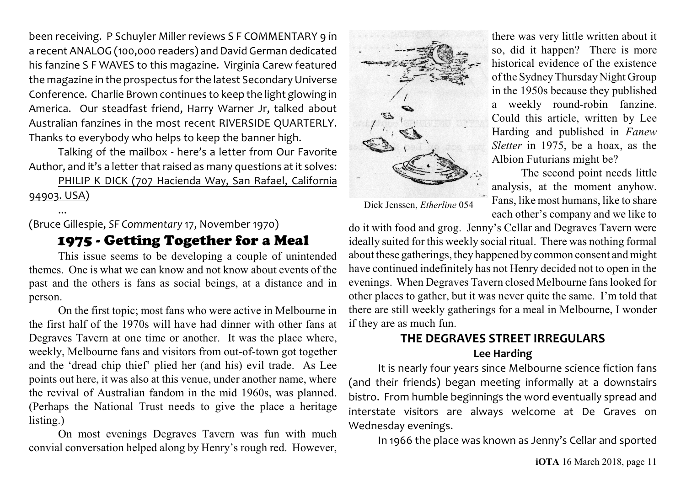been receiving. P Schuyler Miller reviews S F COMMENTARY 9 in a recent ANALOG (100,000 readers) and David German dedicated his fanzine S F WAVES to this magazine. Virginia Carew featured the magazine in the prospectus for the latest Secondary Universe Conference. Charlie Brown continues to keep the light glowing in America. Our steadfast friend, Harry Warner Jr, talked about Australian fanzines in the most recent RIVERSIDE QUARTERLY. Thanks to everybody who helps to keep the banner high.

Talking of the mailbox - here's a letter from Our Favorite Author, and it's a letter that raised as many questions at it solves:

PHILIP K DICK (707 Hacienda Way, San Rafael, California 94903. USA)

...

(Bruce Gillespie, *SF Commentary* 17, November 1970)

# 1975 - Getting Together for a Meal

This issue seems to be developing a couple of unintended themes. One is what we can know and not know about events of the past and the others is fans as social beings, at a distance and in person.

On the first topic; most fans who were active in Melbourne in the first half of the 1970s will have had dinner with other fans at Degraves Tavern at one time or another. It was the place where, weekly, Melbourne fans and visitors from out-of-town got together and the 'dread chip thief' plied her (and his) evil trade. As Lee points out here, it was also at this venue, under another name, where the revival of Australian fandom in the mid 1960s, was planned. (Perhaps the National Trust needs to give the place a heritage listing.)

On most evenings Degraves Tavern was fun with much convial conversation helped along by Henry's rough red. However,



Dick Jenssen, *Etherline* 054

there was very little written about it so, did it happen? There is more historical evidence of the existence of the Sydney Thursday Night Group in the 1950s because they published a weekly round-robin fanzine. Could this article, written by Lee Harding and published in *Fanew Sletter* in 1975, be a hoax, as the Albion Futurians might be?

The second point needs little analysis, at the moment anyhow. Fans, like most humans, like to share each other's company and we like to

do it with food and grog. Jenny's Cellar and Degraves Tavern were ideally suited for this weekly social ritual. There was nothing formal about these gatherings, they happened by common consent and might have continued indefinitely has not Henry decided not to open in the evenings. When Degraves Tavern closed Melbourne fanslooked for other places to gather, but it was never quite the same. I'm told that there are still weekly gatherings for a meal in Melbourne, I wonder if they are as much fun.

# **THE DEGRAVES STREET IRREGULARS**

## **Lee Harding**

It is nearly four years since Melbourne science fiction fans (and their friends) began meeting informally at a downstairs bistro. From humble beginnings the word eventually spread and interstate visitors are always welcome at De Graves on Wednesday evenings.

In 1966 the place was known as Jenny's Cellar and sported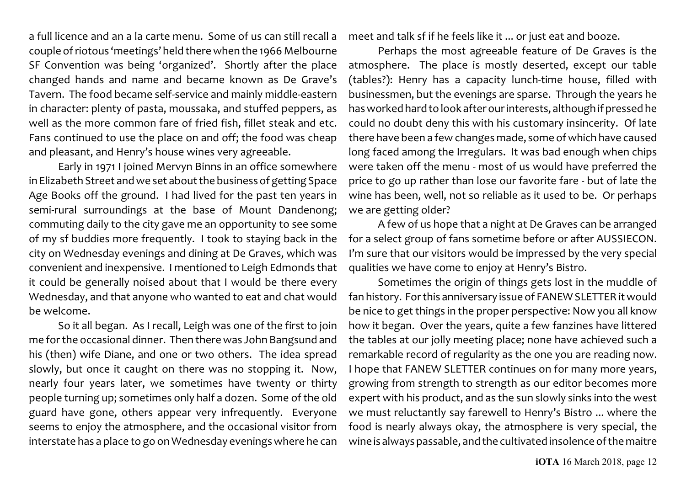a full licence and an a la carte menu. Some of us can still recall a couple ofriotous 'meetings' held there when the 1966 Melbourne SF Convention was being 'organized'. Shortly after the place changed hands and name and became known as De Grave's Tavern. The food became self-service and mainly middle-eastern in character: plenty of pasta, moussaka, and stuffed peppers, as well as the more common fare of fried fish, fillet steak and etc. Fans continued to use the place on and off; the food was cheap and pleasant, and Henry's house wines very agreeable.

Early in 1971 I joined Mervyn Binns in an office somewhere in Elizabeth Street and we set about the business of getting Space Age Books off the ground. I had lived for the past ten years in semi-rural surroundings at the base of Mount Dandenong; commuting daily to the city gave me an opportunity to see some of my sf buddies more frequently. I took to staying back in the city on Wednesday evenings and dining at De Graves, which was convenient and inexpensive. I mentioned to Leigh Edmonds that it could be generally noised about that I would be there every Wednesday, and that anyone who wanted to eat and chat would be welcome.

So it all began. As I recall, Leigh was one of the first to join me for the occasional dinner. Then there was John Bangsund and his (then) wife Diane, and one or two others. The idea spread slowly, but once it caught on there was no stopping it. Now, nearly four years later, we sometimes have twenty or thirty people turning up; sometimes only half a dozen. Some of the old guard have gone, others appear very infrequently. Everyone seems to enjoy the atmosphere, and the occasional visitor from interstate has a place to go on Wednesday evenings where he can meet and talk sf if he feels like it ... or just eat and booze.

Perhaps the most agreeable feature of De Graves is the atmosphere. The place is mostly deserted, except our table (tables?): Henry has a capacity lunch-time house, filled with businessmen, but the evenings are sparse. Through the years he has worked hard to look after our interests, although if pressed he could no doubt deny this with his customary insincerity. Of late there have been a few changes made, some of which have caused long faced among the Irregulars. It was bad enough when chips were taken off the menu - most of us would have preferred the price to go up rather than lose our favorite fare - but of late the wine has been, well, not so reliable as it used to be. Or perhaps we are getting older?

A few of us hope that a night at De Graves can be arranged for a select group of fans sometime before or after AUSSIECON. I'm sure that our visitors would be impressed by the very special qualities we have come to enjoy at Henry's Bistro.

Sometimes the origin of things gets lost in the muddle of fan history. For this anniversary issue of FANEW SLETTER it would be nice to get things in the proper perspective: Now you all know how it began. Over the years, quite a few fanzines have littered the tables at our jolly meeting place; none have achieved such a remarkable record of regularity as the one you are reading now. I hope that FANEW SLETTER continues on for many more years, growing from strength to strength as our editor becomes more expert with his product, and as the sun slowly sinks into the west we must reluctantly say farewell to Henry's Bistro ... where the food is nearly always okay, the atmosphere is very special, the wine is always passable, and the cultivated insolence of the maitre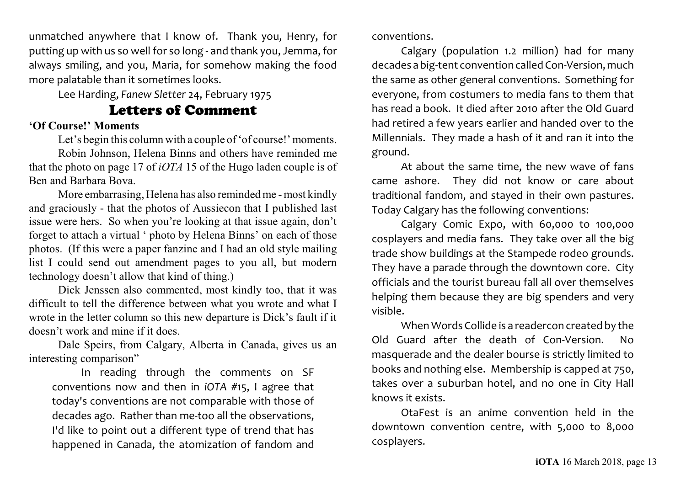unmatched anywhere that I know of. Thank you, Henry, for putting up with us so well for so long - and thank you, Jemma, for always smiling, and you, Maria, for somehow making the food more palatable than it sometimes looks.

Lee Harding, *Fanew Sletter* 24, February 1975

# Letters of Comment

## **'Of Course!' Moments**

Let's begin this column with a couple of 'of course!' moments. Robin Johnson, Helena Binns and others have reminded me that the photo on page 17 of *iOTA* 15 of the Hugo laden couple is of Ben and Barbara Bova.

More embarrasing, Helena has also reminded me - most kindly and graciously - that the photos of Aussiecon that I published last issue were hers. So when you're looking at that issue again, don't forget to attach a virtual ' photo by Helena Binns' on each of those photos. (If this were a paper fanzine and I had an old style mailing list I could send out amendment pages to you all, but modern technology doesn't allow that kind of thing.)

Dick Jenssen also commented, most kindly too, that it was difficult to tell the difference between what you wrote and what I wrote in the letter column so this new departure is Dick's fault if it doesn't work and mine if it does.

Dale Speirs, from Calgary, Alberta in Canada, gives us an interesting comparison"

In reading through the comments on SF conventions now and then in *iOTA* #15, I agree that today's conventions are not comparable with those of decades ago. Rather than me-too all the observations, I'd like to point out a different type of trend that has happened in Canada, the atomization of fandom and

conventions.

Calgary (population 1.2 million) had for many decades a big-tent convention called Con-Version, much the same as other general conventions. Something for everyone, from costumers to media fans to them that has read a book. It died after 2010 after the Old Guard had retired a few years earlier and handed over to the Millennials. They made a hash of it and ran it into the ground.

At about the same time, the new wave of fans came ashore. They did not know or care about traditional fandom, and stayed in their own pastures. Today Calgary has the following conventions:

Calgary Comic Expo, with 60,000 to 100,000 cosplayers and media fans. They take over all the big trade show buildings at the Stampede rodeo grounds. They have a parade through the downtown core. City officials and the tourist bureau fall all over themselves helping them because they are big spenders and very visible.

When Words Collide is a readercon created by the Old Guard after the death of Con-Version. No masquerade and the dealer bourse is strictly limited to books and nothing else. Membership is capped at 750, takes over a suburban hotel, and no one in City Hall knows it exists.

OtaFest is an anime convention held in the downtown convention centre, with 5,000 to 8,000 cosplayers.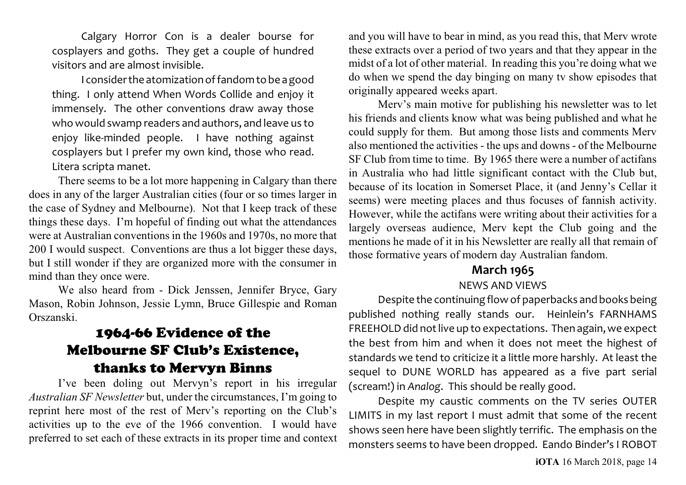Calgary Horror Con is a dealer bourse for cosplayers and goths. They get a couple of hundred visitors and are almost invisible.

I consider the atomization offandom to be a good thing. I only attend When Words Collide and enjoy it immensely. The other conventions draw away those who would swamp readers and authors, and leave us to enjoy like-minded people. I have nothing against cosplayers but I prefer my own kind, those who read. Litera scripta manet.

There seems to be a lot more happening in Calgary than there does in any of the larger Australian cities (four or so times larger in the case of Sydney and Melbourne). Not that I keep track of these things these days. I'm hopeful of finding out what the attendances were at Australian conventions in the 1960s and 1970s, no more that 200 I would suspect. Conventions are thus a lot bigger these days, but I still wonder if they are organized more with the consumer in mind than they once were.

We also heard from - Dick Jenssen, Jennifer Bryce, Gary Mason, Robin Johnson, Jessie Lymn, Bruce Gillespie and Roman Orszanski.

# 1964-66 Evidence of the Melbourne SF Club's Existence, thanks to Mervyn Binns

I've been doling out Mervyn's report in his irregular *Australian SF Newsletter* but, under the circumstances, I'm going to reprint here most of the rest of Merv's reporting on the Club's activities up to the eve of the 1966 convention. I would have preferred to set each of these extracts in its proper time and context and you will have to bear in mind, as you read this, that Merv wrote these extracts over a period of two years and that they appear in the midst of a lot of other material. In reading this you're doing what we do when we spend the day binging on many tv show episodes that originally appeared weeks apart.

Merv's main motive for publishing his newsletter was to let his friends and clients know what was being published and what he could supply for them. But among those lists and comments Merv also mentioned the activities - the ups and downs - of the Melbourne SF Club from time to time. By 1965 there were a number of actifans in Australia who had little significant contact with the Club but, because of its location in Somerset Place, it (and Jenny's Cellar it seems) were meeting places and thus focuses of fannish activity. However, while the actifans were writing about their activities for a largely overseas audience, Merv kept the Club going and the mentions he made of it in his Newsletter are really all that remain of those formative years of modern day Australian fandom.

# **March 1965**

#### NEWS AND VIEWS

Despite the continuing flowof paperbacks and books being published nothing really stands our. Heinlein's FARNHAMS FREEHOLD did not live up to expectations. Then again, we expect the best from him and when it does not meet the highest of standards we tend to criticize it a little more harshly. At least the sequel to DUNE WORLD has appeared as a five part serial (scream!) in *Analog*. This should be really good.

Despite my caustic comments on the TV series OUTER LIMITS in my last report I must admit that some of the recent shows seen here have been slightly terrific. The emphasis on the monsters seems to have been dropped. Eando Binder's I ROBOT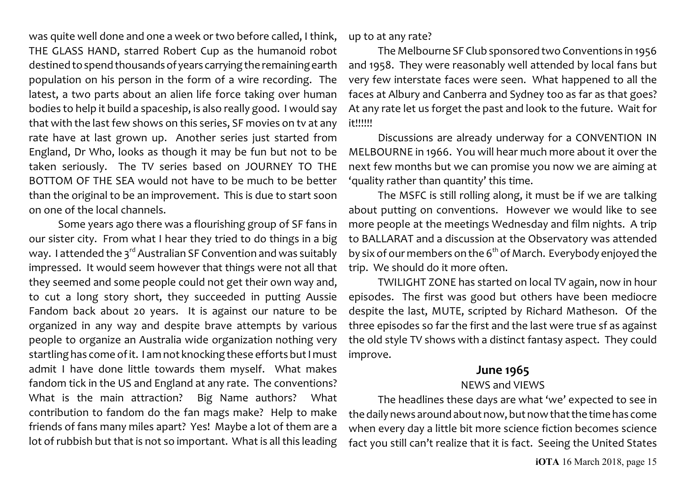was quite well done and one a week or two before called, I think, THE GLASS HAND, starred Robert Cup as the humanoid robot destined to spend thousandsof years carrying the remaining earth population on his person in the form of a wire recording. The latest, a two parts about an alien life force taking over human bodies to help it build a spaceship, is also really good. I would say that with the last few shows on this series, SF movies on tv at any rate have at last grown up. Another series just started from England, Dr Who, looks as though it may be fun but not to be taken seriously. The TV series based on JOURNEY TO THE BOTTOM OF THE SEA would not have to be much to be better than the original to be an improvement. This is due to start soon on one of the local channels.

Some years ago there was a flourishing group of SF fans in our sister city. From what I hear they tried to do things in a big way. I attended the 3<sup>rd</sup> Australian SF Convention and was suitably impressed. It would seem however that things were not all that they seemed and some people could not get their own way and, to cut a long story short, they succeeded in putting Aussie Fandom back about 20 years. It is against our nature to be organized in any way and despite brave attempts by various people to organize an Australia wide organization nothing very startling has come of it. I am not knocking these efforts but I must admit I have done little towards them myself. What makes fandom tick in the US and England at any rate. The conventions? What is the main attraction? Big Name authors? What contribution to fandom do the fan mags make? Help to make friends of fans many miles apart? Yes! Maybe a lot of them are a lot of rubbish but that is not so important. What is all this leading up to at any rate?

The Melbourne SF Club sponsored two Conventions in 1956 and 1958. They were reasonably well attended by local fans but very few interstate faces were seen. What happened to all the faces at Albury and Canberra and Sydney too as far as that goes? At any rate let us forget the past and look to the future. Wait for it!!!!!!

Discussions are already underway for a CONVENTION IN MELBOURNE in 1966. You will hear much more about it over the next few months but we can promise you now we are aiming at 'quality rather than quantity' this time.

The MSFC is still rolling along, it must be if we are talking about putting on conventions. However we would like to see more people at the meetings Wednesday and film nights. A trip to BALLARAT and a discussion at the Observatory was attended by six of our members on the 6 $^{\rm th}$  of March. Everybody enjoyed the trip. We should do it more often.

TWILIGHT ZONE has started on local TV again, now in hour episodes. The first was good but others have been mediocre despite the last, MUTE, scripted by Richard Matheson. Of the three episodes so far the first and the last were true sf as against the old style TV shows with a distinct fantasy aspect. They could improve.

### **June 1965**

#### NEWS and VIEWS

The headlines these days are what 'we' expected to see in the daily news around about now, but nowthat the time has come when every day a little bit more science fiction becomes science fact you still can't realize that it is fact. Seeing the United States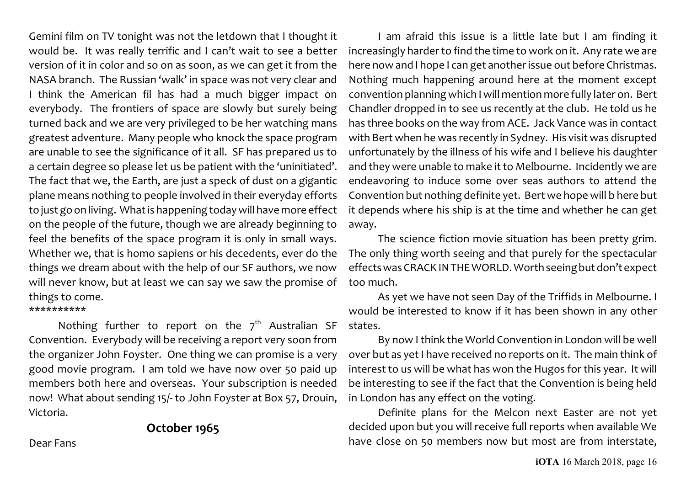Gemini film on TV tonight was not the letdown that I thought it would be. It was really terrific and I can't wait to see a better version of it in color and so on as soon, as we can get it from the NASA branch. The Russian 'walk' in space was not very clear and I think the American fil has had a much bigger impact on everybody. The frontiers of space are slowly but surely being turned back and we are very privileged to be her watching mans greatest adventure. Many people who knock the space program are unable to see the significance of it all. SF has prepared us to a certain degree so please let us be patient with the 'uninitiated'. The fact that we, the Earth, are just a speck of dust on a gigantic plane means nothing to people involved in their everyday efforts to just go on living. What is happening today will have more effect on the people of the future, though we are already beginning to feel the benefits of the space program it is only in small ways. Whether we, that is homo sapiens or his decedents, ever do the things we dream about with the help of our SF authors, we now will never know, but at least we can say we saw the promise of things to come.

#### \*\*\*\*\*\*\*\*\*\*

Nothing further to report on the  $7<sup>th</sup>$  Australian SF Convention. Everybody will be receiving a report very soon from the organizer John Foyster. One thing we can promise is a very good movie program. I am told we have now over 50 paid up members both here and overseas. Your subscription is needed now! What about sending 15/- to John Foyster at Box 57, Drouin, Victoria.

# **October 1965**

I am afraid this issue is a little late but I am finding it increasingly harder to find the time to work on it. Any rate we are here now and I hope I can get another issue out before Christmas. Nothing much happening around here at the moment except convention planning which I will mention more fully later on. Bert Chandler dropped in to see us recently at the club. He told us he has three books on the way from ACE. Jack Vance was in contact with Bert when he was recently in Sydney. His visit was disrupted unfortunately by the illness of his wife and I believe his daughter and they were unable to make it to Melbourne. Incidently we are endeavoring to induce some over seas authors to attend the Convention but nothing definite yet. Bert we hope will b here but it depends where his ship is at the time and whether he can get away.

The science fiction movie situation has been pretty grim. The only thing worth seeing and that purely for the spectacular effectswas CRACK INTHE WORLD. Worth seeing but don't expect too much.

As yet we have not seen Day of the Triffids in Melbourne. I would be interested to know if it has been shown in any other states.

By now I think the World Convention in London will be well over but as yet I have received no reports on it. The main think of interest to us will be what has won the Hugos for this year. It will be interesting to see if the fact that the Convention is being held in London has any effect on the voting.

Definite plans for the Melcon next Easter are not yet decided upon but you will receive full reports when available We have close on 50 members now but most are from interstate,

Dear Fans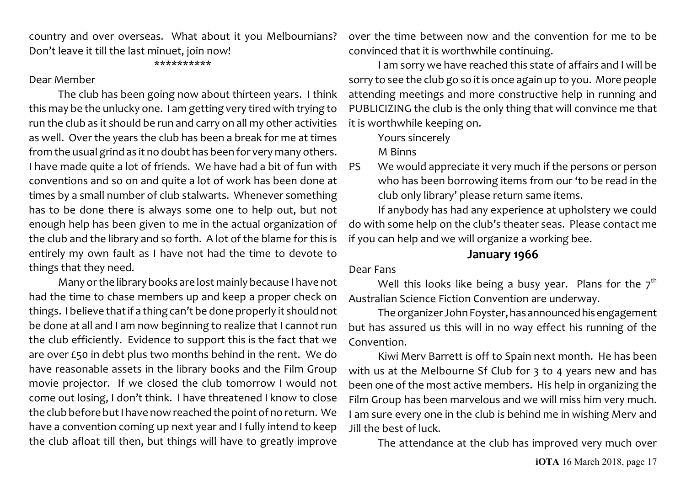country and over overseas. What about it you Melbournians? Don't leave it till the last minuet, join now!

#### \*\*\*\*\*\*\*\*\*\*

#### Dear Member

The club has been going now about thirteen years. I think this may be the unlucky one. I am getting very tired with trying to run the club as it should be run and carry on all my other activities as well. Over the years the club has been a break for me at times from the usual grind as it no doubt has been for very many others. I have made quite a lot of friends. We have had a bit of fun with conventions and so on and quite a lot of work has been done at times by a small number of club stalwarts. Whenever something has to be done there is always some one to help out, but not enough help has been given to me in the actual organization of the club and the library and so forth. A lot of the blame for this is entirely my own fault as I have not had the time to devote to things that they need.

Many or the library books are lost mainly because I have not had the time to chase members up and keep a proper check on things. I believe that if a thing can't be done properly it should not be done at all and I am now beginning to realize that I cannot run the club efficiently. Evidence to support this is the fact that we are over £50 in debt plus two months behind in the rent. We do have reasonable assets in the library books and the Film Group movie projector. If we closed the club tomorrow I would not come out losing, I don't think. I have threatened I know to close the club before but I have nowreached the point of no return. We have a convention coming up next year and I fully intend to keep the club afloat till then, but things will have to greatly improve over the time between now and the convention for me to be convinced that it is worthwhile continuing.

I am sorry we have reached this state of affairs and I will be sorry to see the club go so it is once again up to you. More people attending meetings and more constructive help in running and PUBLICIZING the club is the only thing that will convince me that it is worthwhile keeping on.

Yours sincerely

M Binns

PS We would appreciate it very much if the persons or person who has been borrowing items from our 'to be read in the club only library' please return same items.

If anybody has had any experience at upholstery we could do with some help on the club's theater seas. Please contact me if you can help and we will organize a working bee.

#### **January 1966**

#### Dear Fans

Well this looks like being a busy year. Plans for the  $\mathbf{\mathbf{7}}^{\text{th}}$ Australian Science Fiction Convention are underway.

The organizer John Foyster, has announced his engagement but has assured us this will in no way effect his running of the Convention.

Kiwi Merv Barrett is off to Spain next month. He has been with us at the Melbourne Sf Club for 3 to 4 years new and has been one of the most active members. His help in organizing the Film Group has been marvelous and we will miss him very much. I am sure every one in the club is behind me in wishing Merv and Jill the best of luck.

The attendance at the club has improved very much over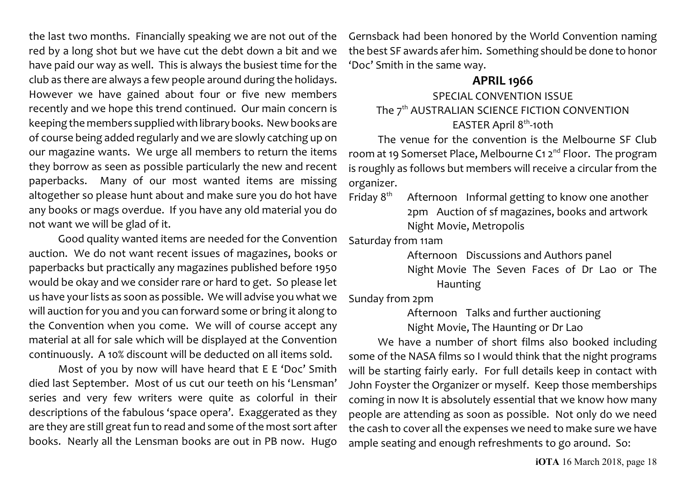the last two months. Financially speaking we are not out of the red by a long shot but we have cut the debt down a bit and we have paid our way as well. This is always the busiest time for the club as there are always a few people around during the holidays. However we have gained about four or five new members recently and we hope this trend continued. Our main concern is keeping the members supplied with library books. Newbooks are of course being added regularly and we are slowly catching up on our magazine wants. We urge all members to return the items they borrow as seen as possible particularly the new and recent paperbacks. Many of our most wanted items are missing altogether so please hunt about and make sure you do hot have any books or mags overdue. If you have any old material you do not want we will be glad of it.

Good quality wanted items are needed for the Convention auction. We do not want recent issues of magazines, books or paperbacks but practically any magazines published before 1950 would be okay and we consider rare or hard to get. So please let us have your lists as soon as possible. We will advise you what we will auction for you and you can forward some or bring it along to the Convention when you come. We will of course accept any material at all for sale which will be displayed at the Convention continuously. A 10% discount will be deducted on all items sold.

Most of you by now will have heard that E E 'Doc' Smith died last September. Most of us cut our teeth on his 'Lensman' series and very few writers were quite as colorful in their descriptions of the fabulous 'space opera'. Exaggerated as they are they are still great fun to read and some of the most sort after books. Nearly all the Lensman books are out in PB now. Hugo Gernsback had been honored by the World Convention naming the best SF awards afer him. Something should be done to honor 'Doc' Smith in the same way.

### **APRIL 1966**

# SPECIAL CONVENTION ISSUE The  $7^{\rm th}$  AUSTRALIAN SCIENCE FICTION CONVENTION EASTER April 8<sup>th</sup>-10th

The venue for the convention is the Melbourne SF Club room at 19 Somerset Place, Melbourne C1 2<sup>nd</sup> Floor. The program is roughly as follows but members will receive a circular from the organizer.

Friday  $8<sup>th</sup>$  Afternoon Informal getting to know one another 2pm Auction of sf magazines, books and artwork Night Movie, Metropolis

Saturday from 11am

Afternoon Discussions and Authors panel Night Movie The Seven Faces of Dr Lao or The Haunting

Sunday from 2pm

Afternoon Talks and further auctioning Night Movie, The Haunting or Dr Lao

We have a number of short films also booked including some of the NASA films so I would think that the night programs will be starting fairly early. For full details keep in contact with John Foyster the Organizer or myself. Keep those memberships coming in now It is absolutely essential that we know how many people are attending as soon as possible. Not only do we need the cash to cover all the expenses we need to make sure we have ample seating and enough refreshments to go around. So: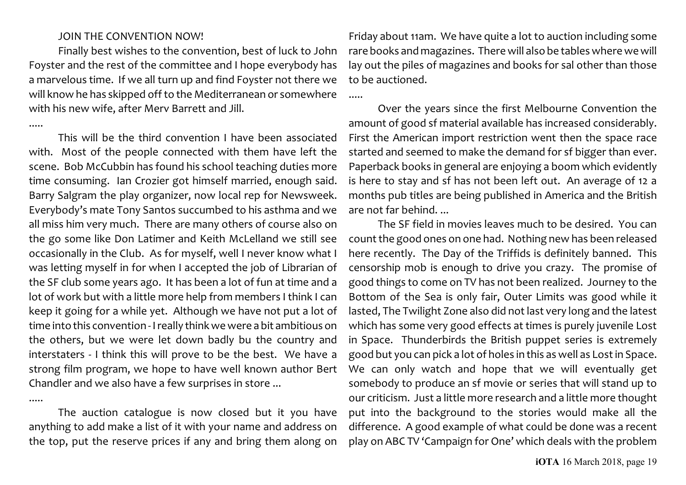#### JOIN THE CONVENTION NOW!

Finally best wishes to the convention, best of luck to John Foyster and the rest of the committee and I hope everybody has a marvelous time. If we all turn up and find Foyster not there we will know he has skipped off to the Mediterranean or somewhere with his new wife, after Merv Barrett and Jill.

.....

.....

This will be the third convention I have been associated with. Most of the people connected with them have left the scene. Bob McCubbin has found his school teaching duties more time consuming. Ian Crozier got himself married, enough said. Barry Salgram the play organizer, now local rep for Newsweek. Everybody's mate Tony Santos succumbed to his asthma and we all miss him very much. There are many others of course also on the go some like Don Latimer and Keith McLelland we still see occasionally in the Club. As for myself, well I never know what I was letting myself in for when I accepted the job of Librarian of the SF club some years ago. It has been a lot of fun at time and a lot of work but with a little more help from members I think I can keep it going for a while yet. Although we have not put a lot of time into this convention - I really think we were a bit ambitious on the others, but we were let down badly bu the country and interstaters - I think this will prove to be the best. We have a strong film program, we hope to have well known author Bert Chandler and we also have a few surprises in store ...

The auction catalogue is now closed but it you have anything to add make a list of it with your name and address on the top, put the reserve prices if any and bring them along on

Friday about 11am. We have quite a lot to auction including some rare books and magazines. There will also be tables where we will lay out the piles of magazines and books for sal other than those to be auctioned.

.....

Over the years since the first Melbourne Convention the amount of good sf material available has increased considerably. First the American import restriction went then the space race started and seemed to make the demand for sf bigger than ever. Paperback books in general are enjoying a boom which evidently is here to stay and sf has not been left out. An average of 12 a months pub titles are being published in America and the British are not far behind. ...

The SF field in movies leaves much to be desired. You can count the good ones on one had. Nothing new has been released here recently. The Day of the Triffids is definitely banned. This censorship mob is enough to drive you crazy. The promise of good things to come on TV has not been realized. Journey to the Bottom of the Sea is only fair, Outer Limits was good while it lasted, The Twilight Zone also did not last very long and the latest which has some very good effects at times is purely juvenile Lost in Space. Thunderbirds the British puppet series is extremely good but you can pick a lot of holes in this as well as Lost in Space. We can only watch and hope that we will eventually get somebody to produce an sf movie or series that will stand up to our criticism. Just a little more research and a little more thought put into the background to the stories would make all the difference. A good example of what could be done was a recent play on ABC TV 'Campaign for One' which deals with the problem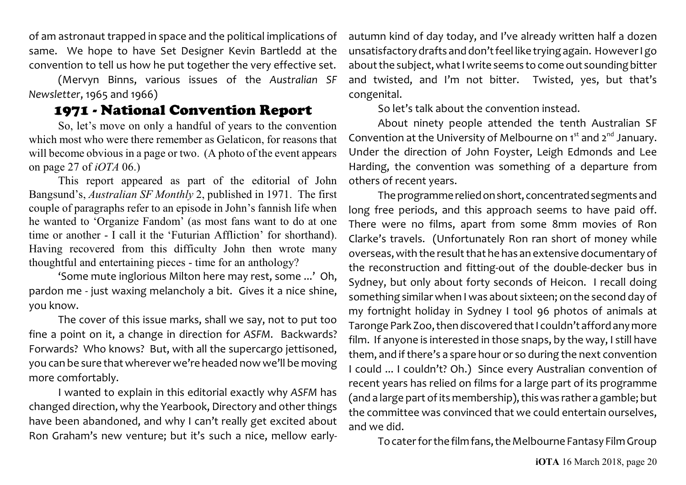of am astronaut trapped in space and the political implications of same. We hope to have Set Designer Kevin Bartledd at the convention to tell us how he put together the very effective set.

(Mervyn Binns, various issues of the *Australian SF Newsletter*, 1965 and 1966)

# 1971 - National Convention Report

So, let's move on only a handful of years to the convention which most who were there remember as Gelaticon, for reasons that will become obvious in a page or two. (A photo of the event appears on page 27 of *iOTA* 06.)

This report appeared as part of the editorial of John Bangsund's, *Australian SF Monthly* 2, published in 1971. The first couple of paragraphs refer to an episode in John's fannish life when he wanted to 'Organize Fandom' (as most fans want to do at one time or another - I call it the 'Futurian Affliction' for shorthand). Having recovered from this difficulty John then wrote many thoughtful and entertaining pieces - time for an anthology?

'Some mute inglorious Milton here may rest, some ...' Oh, pardon me - just waxing melancholy a bit. Gives it a nice shine, you know.

The cover of this issue marks, shall we say, not to put too fine a point on it, a change in direction for *ASFM*. Backwards? Forwards? Who knows? But, with all the supercargo jettisoned, you can be sure that wherever we're headed now we'll be moving more comfortably.

I wanted to explain in this editorial exactly why *ASFM* has changed direction, why the Yearbook, Directory and other things have been abandoned, and why I can't really get excited about Ron Graham's new venture; but it's such a nice, mellow early-

autumn kind of day today, and I've already written half a dozen unsatisfactory drafts and don't feel like trying again. However I go about the subject, what I write seems to come out sounding bitter and twisted, and I'm not bitter. Twisted, yes, but that's congenital.

So let's talk about the convention instead.

About ninety people attended the tenth Australian SF Convention at the University of Melbourne on 1<sup>st</sup> and 2<sup>nd</sup> January. Under the direction of John Foyster, Leigh Edmonds and Lee Harding, the convention was something of a departure from others of recent years.

The programmereliedonshort, concentratedsegments and long free periods, and this approach seems to have paid off. There were no films, apart from some 8mm movies of Ron Clarke's travels. (Unfortunately Ron ran short of money while overseas, with the result that he has an extensive documentary of the reconstruction and fitting-out of the double-decker bus in Sydney, but only about forty seconds of Heicon. I recall doing something similar when I was about sixteen; on the second day of my fortnight holiday in Sydney I tool 96 photos of animals at Taronge Park Zoo, then discovered that I couldn't afford any more film. If anyone is interested in those snaps, by the way, I still have them, and if there's a spare hour or so during the next convention I could ... I couldn't? Oh.) Since every Australian convention of recent years has relied on films for a large part of its programme (and a large part of its membership), this was rather a gamble; but the committee was convinced that we could entertain ourselves, and we did.

To cater for the film fans, the Melbourne Fantasy Film Group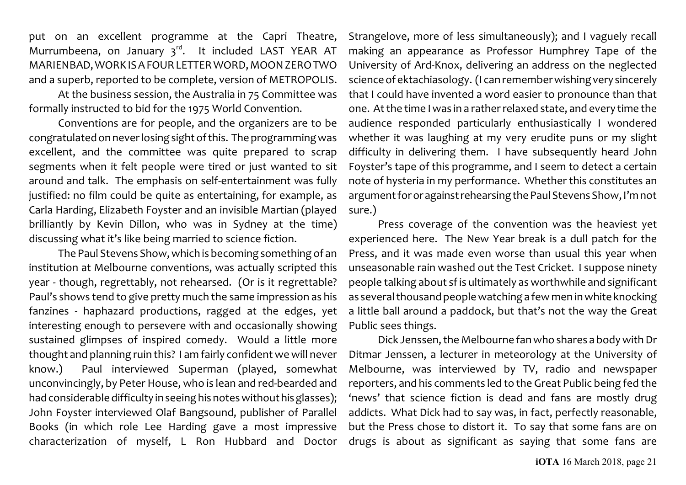put on an excellent programme at the Capri Theatre, Murrumbeena, on January 3<sup>rd</sup>. It included LAST YEAR AT MARIENBAD, WORKISAFOURLETTER WORD, MOONZERO TWO and a superb, reported to be complete, version of METROPOLIS.

At the business session, the Australia in 75 Committee was formally instructed to bid for the 1975 World Convention.

Conventions are for people, and the organizers are to be congratulated on never losing sight ofthis. The programming was excellent, and the committee was quite prepared to scrap segments when it felt people were tired or just wanted to sit around and talk. The emphasis on self-entertainment was fully justified: no film could be quite as entertaining, for example, as Carla Harding, Elizabeth Foyster and an invisible Martian (played brilliantly by Kevin Dillon, who was in Sydney at the time) discussing what it's like being married to science fiction.

The Paul Stevens Show,which is becoming something of an institution at Melbourne conventions, was actually scripted this year - though, regrettably, not rehearsed. (Or is it regrettable? Paul's shows tend to give pretty much the same impression as his fanzines - haphazard productions, ragged at the edges, yet interesting enough to persevere with and occasionally showing sustained glimpses of inspired comedy. Would a little more thought and planning ruin this? I am fairly confident we will never know.) Paul interviewed Superman (played, somewhat unconvincingly, by Peter House, who is lean and red-bearded and had considerable difficulty in seeing his notes without hisglasses); John Foyster interviewed Olaf Bangsound, publisher of Parallel Books (in which role Lee Harding gave a most impressive characterization of myself, L Ron Hubbard and Doctor

Strangelove, more of less simultaneously); and I vaguely recall making an appearance as Professor Humphrey Tape of the University of Ard-Knox, delivering an address on the neglected science of ektachiasology. (I can remember wishing very sincerely that I could have invented a word easier to pronounce than that one. At the time Iwas in a rather relaxed state, and every time the audience responded particularly enthusiastically I wondered whether it was laughing at my very erudite puns or my slight difficulty in delivering them. I have subsequently heard John Foyster's tape of this programme, and I seem to detect a certain note of hysteria in my performance. Whether this constitutes an argument for oragainstrehearsing the Paul Stevens Show, I'mnot sure.)

Press coverage of the convention was the heaviest yet experienced here. The New Year break is a dull patch for the Press, and it was made even worse than usual this year when unseasonable rain washed out the Test Cricket. I suppose ninety people talking about sfis ultimately as worthwhile and significant as several thousand people watching a few men in white knocking a little ball around a paddock, but that's not the way the Great Public sees things.

Dick Jenssen, the Melbourne fan who shares a body with Dr Ditmar Jenssen, a lecturer in meteorology at the University of Melbourne, was interviewed by TV, radio and newspaper reporters, and his comments led to the Great Public being fed the 'news' that science fiction is dead and fans are mostly drug addicts. What Dick had to say was, in fact, perfectly reasonable, but the Press chose to distort it. To say that some fans are on drugs is about as significant as saying that some fans are